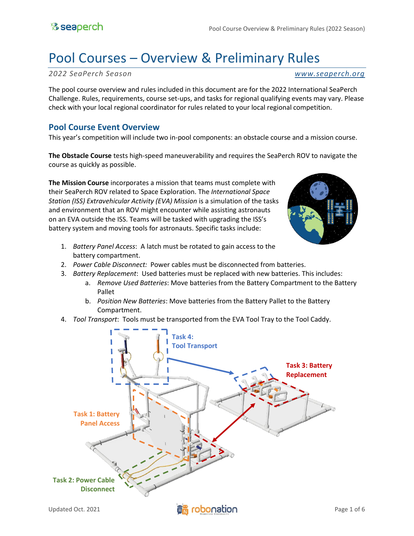# Pool Courses – Overview & Preliminary Rules

*2022 SeaPerch Season [www.seaperch.org](http://www.seaperch.org/)*

The pool course overview and rules included in this document are for the 2022 International SeaPerch Challenge. Rules, requirements, course set-ups, and tasks for regional qualifying events may vary. Please check with your local regional coordinator for rules related to your local regional competition.

### **Pool Course Event Overview**

This year's competition will include two in-pool components: an obstacle course and a mission course.

**The Obstacle Course** tests high-speed maneuverability and requires the SeaPerch ROV to navigate the course as quickly as possible.

**The Mission Course** incorporates a mission that teams must complete with their SeaPerch ROV related to Space Exploration. The *International Space Station (ISS) Extravehicular Activity (EVA) Mission* is a simulation of the tasks and environment that an ROV might encounter while assisting astronauts on an EVA outside the ISS. Teams will be tasked with upgrading the ISS's battery system and moving tools for astronauts. Specific tasks include:



- 1. *Battery Panel Access*: A latch must be rotated to gain access to the battery compartment.
- 2. *Power Cable Disconnect:* Power cables must be disconnected from batteries.
- 3. *Battery Replacement*: Used batteries must be replaced with new batteries. This includes:
	- a. *Remove Used Batteries*: Move batteries from the Battery Compartment to the Battery Pallet
	- b. *Position New Batteries*: Move batteries from the Battery Pallet to the Battery Compartment.
- 4. *Tool Transport*: Tools must be transported from the EVA Tool Tray to the Tool Caddy.

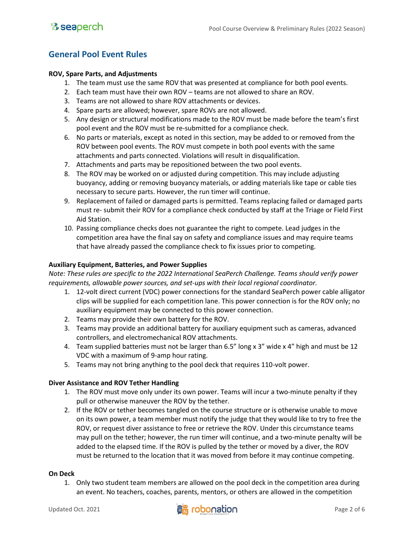### **General Pool Event Rules**

### **ROV, Spare Parts, and Adjustments**

- 1. The team must use the same ROV that was presented at compliance for both pool events.
- 2. Each team must have their own ROV teams are not allowed to share an ROV.
- 3. Teams are not allowed to share ROV attachments or devices.
- 4. Spare parts are allowed; however, spare ROVs are not allowed.
- 5. Any design or structural modifications made to the ROV must be made before the team's first pool event and the ROV must be re-submitted for a compliance check.
- 6. No parts or materials, except as noted in this section, may be added to or removed from the ROV between pool events. The ROV must compete in both pool events with the same attachments and parts connected. Violations will result in disqualification.
- 7. Attachments and parts may be repositioned between the two pool events.
- 8. The ROV may be worked on or adjusted during competition. This may include adjusting buoyancy, adding or removing buoyancy materials, or adding materials like tape or cable ties necessary to secure parts. However, the run timer will continue.
- 9. Replacement of failed or damaged parts is permitted. Teams replacing failed or damaged parts must re- submit their ROV for a compliance check conducted by staff at the Triage or Field First Aid Station.
- 10. Passing compliance checks does not guarantee the right to compete. Lead judges in the competition area have the final say on safety and compliance issues and may require teams that have already passed the compliance check to fix issues prior to competing.

### **Auxiliary Equipment, Batteries, and Power Supplies**

*Note: These rules are specific to the 2022 International SeaPerch Challenge. Teams should verify power requirements, allowable power sources, and set-ups with their local regional coordinator.* 

- 1. 12-volt direct current (VDC) power connections for the standard SeaPerch power cable alligator clips will be supplied for each competition lane. This power connection is for the ROV only; no auxiliary equipment may be connected to this power connection.
- 2. Teams may provide their own battery for the ROV.
- 3. Teams may provide an additional battery for auxiliary equipment such as cameras, advanced controllers, and electromechanical ROV attachments.
- 4. Team supplied batteries must not be larger than 6.5" long x 3" wide x 4" high and must be 12 VDC with a maximum of 9-amp hour rating.
- 5. Teams may not bring anything to the pool deck that requires 110-volt power.

#### **Diver Assistance and ROV Tether Handling**

- 1. The ROV must move only under its own power. Teams will incur a two-minute penalty if they pull or otherwise maneuver the ROV by the tether.
- 2. If the ROV or tether becomes tangled on the course structure or is otherwise unable to move on its own power, a team member must notify the judge that they would like to try to free the ROV, or request diver assistance to free or retrieve the ROV. Under this circumstance teams may pull on the tether; however, the run timer will continue, and a two-minute penalty will be added to the elapsed time. If the ROV is pulled by the tether or moved by a diver, the ROV must be returned to the location that it was moved from before it may continue competing.

#### **On Deck**

1. Only two student team members are allowed on the pool deck in the competition area during an event. No teachers, coaches, parents, mentors, or others are allowed in the competition

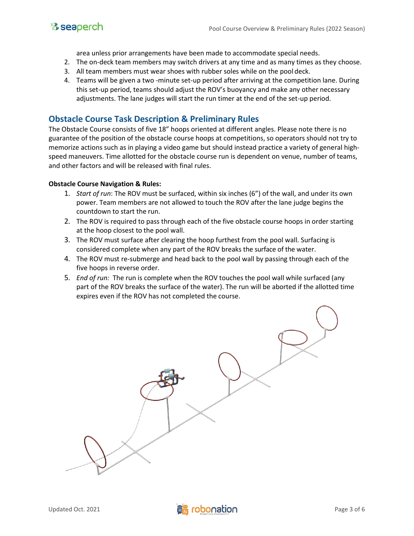

area unless prior arrangements have been made to accommodate special needs.

- 2. The on-deck team members may switch drivers at any time and as many times as they choose.
- 3. All team members must wear shoes with rubber soles while on the pool deck.
- 4. Teams will be given a two -minute set-up period after arriving at the competition lane. During this set-up period, teams should adjust the ROV's buoyancy and make any other necessary adjustments. The lane judges will start the run timer at the end of the set-up period.

### **Obstacle Course Task Description & Preliminary Rules**

The Obstacle Course consists of five 18" hoops oriented at different angles. Please note there is no guarantee of the position of the obstacle course hoops at competitions, so operators should not try to memorize actions such as in playing a video game but should instead practice a variety of general highspeed maneuvers. Time allotted for the obstacle course run is dependent on venue, number of teams, and other factors and will be released with final rules.

### **Obstacle Course Navigation & Rules:**

- 1. *Start of run*: The ROV must be surfaced, within six inches (6") of the wall, and under its own power. Team members are not allowed to touch the ROV after the lane judge begins the countdown to start the run.
- 2. The ROV is required to pass through each of the five obstacle course hoops in order starting at the hoop closest to the pool wall.
- 3. The ROV must surface after clearing the hoop furthest from the pool wall. Surfacing is considered complete when any part of the ROV breaks the surface of the water.
- 4. The ROV must re-submerge and head back to the pool wall by passing through each of the five hoops in reverse order.
- 5. *End of run:* The run is complete when the ROV touches the pool wall while surfaced (any part of the ROV breaks the surface of the water). The run will be aborted if the allotted time expires even if the ROV has not completed the course.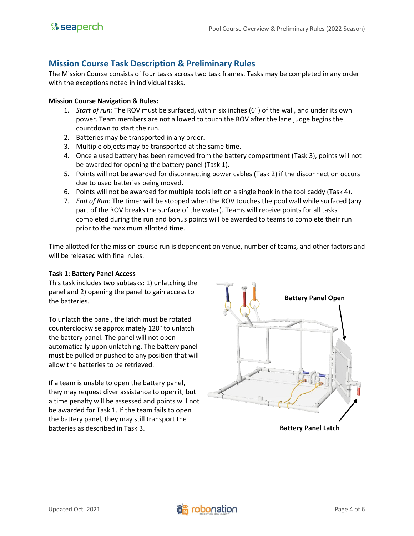### **Mission Course Task Description & Preliminary Rules**

The Mission Course consists of four tasks across two task frames. Tasks may be completed in any order with the exceptions noted in individual tasks.

### **Mission Course Navigation & Rules:**

- 1. *Start of run:* The ROV must be surfaced, within six inches (6") of the wall, and under its own power. Team members are not allowed to touch the ROV after the lane judge begins the countdown to start the run.
- 2. Batteries may be transported in any order.
- 3. Multiple objects may be transported at the same time.
- 4. Once a used battery has been removed from the battery compartment (Task 3), points will not be awarded for opening the battery panel (Task 1).
- 5. Points will not be awarded for disconnecting power cables (Task 2) if the disconnection occurs due to used batteries being moved.
- 6. Points will not be awarded for multiple tools left on a single hook in the tool caddy (Task 4).
- 7. *End of Run:* The timer will be stopped when the ROV touches the pool wall while surfaced (any part of the ROV breaks the surface of the water). Teams will receive points for all tasks completed during the run and bonus points will be awarded to teams to complete their run prior to the maximum allotted time.

Time allotted for the mission course run is dependent on venue, number of teams, and other factors and will be released with final rules.

#### **Task 1: Battery Panel Access**

This task includes two subtasks: 1) unlatching the panel and 2) opening the panel to gain access to the batteries.

To unlatch the panel, the latch must be rotated counterclockwise approximately 120° to unlatch the battery panel. The panel will not open automatically upon unlatching. The battery panel must be pulled or pushed to any position that will allow the batteries to be retrieved.

If a team is unable to open the battery panel, they may request diver assistance to open it, but a time penalty will be assessed and points will not be awarded for Task 1. If the team fails to open the battery panel, they may still transport the batteries as described in Task 3.

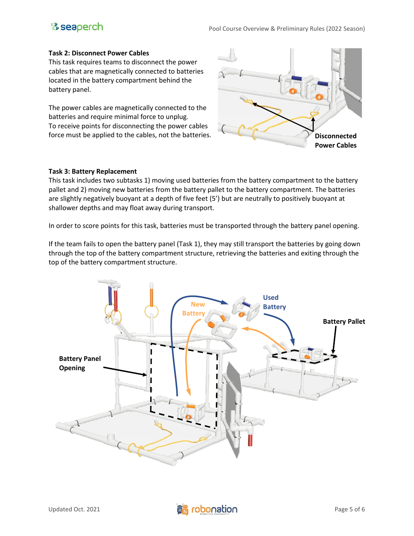# **& seaperch**

#### **Task 2: Disconnect Power Cables**

This task requires teams to disconnect the power cables that are magnetically connected to batteries located in the battery compartment behind the battery panel.

The power cables are magnetically connected to the batteries and require minimal force to unplug. To receive points for disconnecting the power cables force must be applied to the cables, not the batteries.



### **Task 3: Battery Replacement**

This task includes two subtasks 1) moving used batteries from the battery compartment to the battery pallet and 2) moving new batteries from the battery pallet to the battery compartment. The batteries are slightly negatively buoyant at a depth of five feet (5') but are neutrally to positively buoyant at shallower depths and may float away during transport.

In order to score points for this task, batteries must be transported through the battery panel opening.

If the team fails to open the battery panel (Task 1), they may still transport the batteries by going down through the top of the battery compartment structure, retrieving the batteries and exiting through the top of the battery compartment structure.